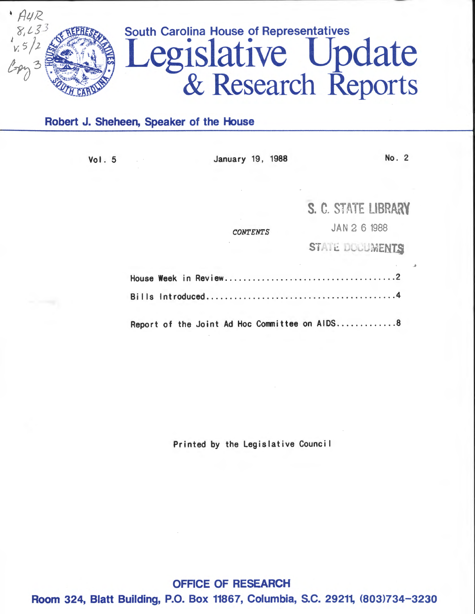

# Robert J. Sheheen, Speaker of the House

| Vol. 5 | January 19, 1988                              | No. 2               |
|--------|-----------------------------------------------|---------------------|
|        |                                               |                     |
|        |                                               | S. C. STATE LIBRARY |
|        | <b>CONTENTS</b>                               | JAN 2 6 1988        |
|        |                                               | STATE DOCUMENTS     |
|        |                                               |                     |
|        |                                               |                     |
|        | Report of the Joint Ad Hoc Committee on AIDS8 |                     |

Printed by the Legislative Counci I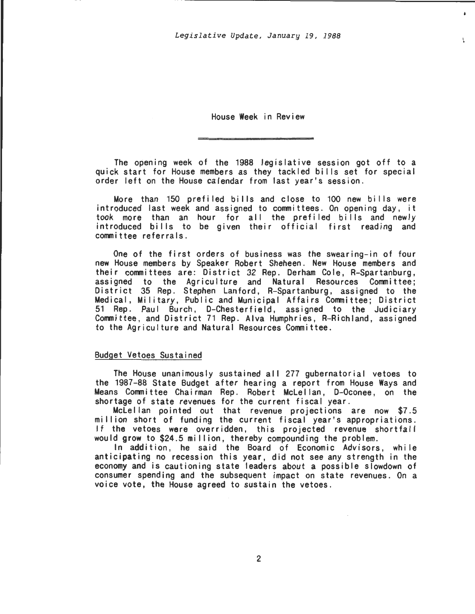$\Delta$ 

 $\mathcal{L}$ 

House Week in Review

The opening week of the 1988 legislative session got off to a quick start for House members as they tackled bills set for special order left on the House calendar from last year's session.

More than 150 prefiled bills and close to 100 new bills were introduced last week and assigned to committees. On opening day, it took more than an hour for all the prefi led bi lis and newly introduced bills to be given their official first reading and conmittee referrals.

One of the first orders of business was the swearing-in of four new House members by Speaker Robert Sheheen. New House members and their conmittees are: District 32 Rep. Derham Cole, A-Spartanburg, assigned to the Agriculture and Natural Resources Conmittee; District 35 Rep. Stephen Lanford, A-Spartanburg, assigned to the Medical, Military, Public and Municipal Affairs Conmittee; District 51 Rep. Paul Burch, D-Chesterfield, assigned to the Judiciary Committee, and District 71 Rep. Alva Humphries, A-Richland, assigned to the Agriculture and Natural Resources Committee.

## Budget Vetoes Sustained

The House unanimously sustained all 277 gubernatorial vetoes to the 1987-88 State Budget after hearing a report from House Ways and Means Committee Chairman Rep. Robert Mclellan, D-Oconee, on the shortage of state revenues for the current fiscal year.

Mclellan pointed out that revenue projections are now \$7.5 mi II ion short of funding the current fiscal year's appropriations. If the vetoes were overridden, this projected revenue shortfall would grow to \$24.5 million, thereby compounding the problem.

In addition, he said the Board of Economic Advisors, while anticipating no recession this year, did not see any strength in the economy and is cautioning state leaders about a possible slowdown of consumer spending and the subsequent impact on state revenues. On a voice vote, the House agreed to sustain the vetoes.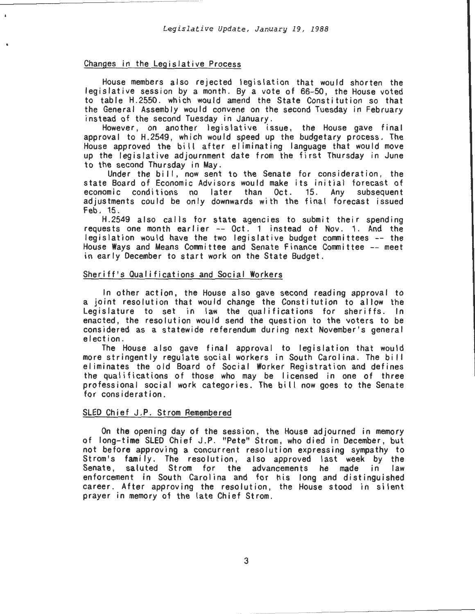# Changes in the Legislative Process

House members also rejected legislation that would shorten the legislative session by a month. By a vote of 66-50, the House voted to table H.2550. which would amend the State Constitution so that the General Assembly would convene on the second Tuesday in February instead of the second Tuesday in January.

However, on another legislative issue, the House gave final approval to H.2549 , which would speed up the budgetary process. The House approved the bi II after eliminating language that would move up the legislative adjournment date from the first Thursday in June to the second Thursday in May.

Under the bill, now sent to the Senate for consideration, the state Board of Economic Advisors would make its initial forecast of economic conditions no later than Oct. 15. Any subsequent adjustments could be only downwards with the final forecast issued Feb. 15 .

H.2549 also calls for state agencies to submit their spending requests one month earlier  $--$  Oct. 1 instead of Nov. 1. And the legislation would have the two legislative budget committees -- the House Ways and Means Committee and Senate Finance Committee -- meet in early December to start work on the State Budget.

## Sheriff's Qualifications and Social Workers

In other action, the House also gave second reading approval to a joint resolution that would change the Constitution to allow the Legislature to set in law the qualifications for sheriffs. In enacted, the resolution would send the question to the voters to be considered as a statewide referendum during next November's general e lection.

The House also gave final approval to legislation that would more stringently regulate social workers in South Carolina. The bill eliminates the old Board of Social Worker Registration and defines the qualifications of those who may be licensed in one of three professional social work categories. The bill now goes to the Senate for consideration.

## SLED Chief J.P. Strom Remembered

On the opening day of the session, the House adjourned in memory of long-time SLED Chief J.P. "Pete" Strom, who died in December, but not before approving a concurrent resolution expressing sympathy to Strom's family. The resolution, also approved last week by the Senate, saluted Strom for the advancements he made in law enforcement in South Carol ina and for his long and distinguished career. After approving the resolution, the House stood in silent prayer in memory of the late Chief Strom .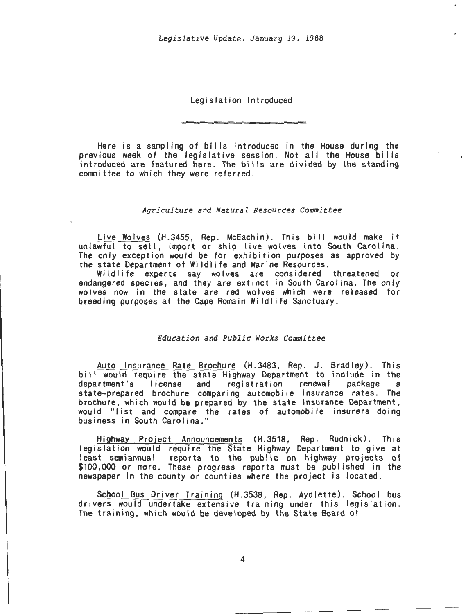Legislation Introduced

Here is a sampling of bi lis introduced in the House during the previous week of the legislative session. Not all the House bills introduced are featured here. The bills are divided by the standing committee to which they were referred.

 $\mathcal{L}^{\text{max}}$  ,  $\mathbf{v}_{\text{max}}$ 

## *Agriculture and Natural Resources Committee*

Live Wolves (H.3455, Rep. McEachin). This bill would make it unlawful to sell, import or ship live wolves into South Carolina. The only exception would be for exhibition purposes as approved by the state Department of Wildlife and Marine Resources .

Wildlife experts say wolves are considered threatened or endangered species, and they are extinct in South Carolina. The only wolves now in the state are red wolves which were released for breeding purposes at the Cape Romain Wildlife Sanctuary.

# *Education and Public Works Committee*

Auto Insurance Rate Brochure (H.3483, Rep. J. Bradley). This bill would require the state Highway Department to include in the<br>department's license and registration renewal package a department's license and registration renewal state-prepared brochure comparing automobile insurance rates . The brochure, which would be prepared by the state Insurance Department, would "list and compare the rates of automobile insurers doing business in South Carolina."

Highway Project Announcements (H.3518, Rep. Rudnick). This legislation would require the State Highway Department to give at least semiannual reports to the public on highway projects of \$100,000 or more. These progress reports must be published in the newspaper in the county or counties where the project is located.

School Bus Driver Training (H.3538, Rep. Aydlette). School bus drivers would undertake extensive training under this legislation. The training, which would be developed by the State Board of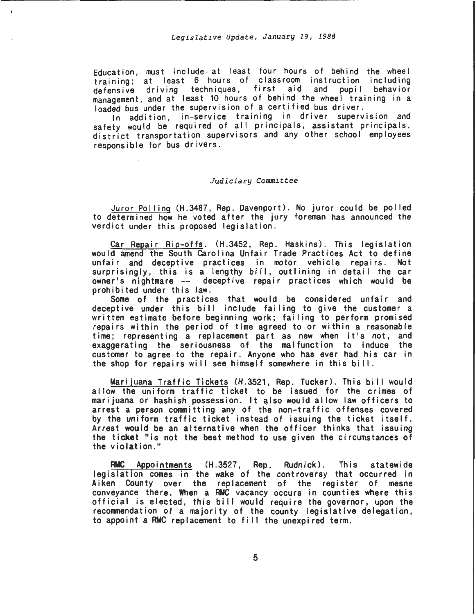Education, must include at least four hours of behind the wheel training; at least 6 hours of classroom instruction including<br>defensive driving techniques, first aid and pupil behavior defensive driving techniques, first management, and at least 10 hours of behind the wheel training in a loaded bus under the supervision of a certified bus driver.

In addition, in-service training in driver supervision and safety would be required of all principals, assistant principals, district transportation supervisors and any other school employees responsible for bus drivers.

#### *Judiciary Committee*

Juror Pol ling (H.3487, Rep. Davenport) . No juror could be pol led to determined how he voted after the jury foreman has announced the verdict under this proposed legislation.

Car Repair Rip-offs. (H.3452, Rep. Haskins). This legislation would amend the South Carolina Unfair Trade Practices Act to define unfair and deceptive practices in motor vehicle repairs. Not surprisingly, this is a lengthy bill, outlining in detail the car owner's nightmare -- deceptive repair practices which would be prohibited under this law .

Some of the practices that would be considered unfair and deceptive under this bill include failing to give the customer a written estimate before beginning work; failing to perform promised repairs wi thin the period of time agreed to or within a reasonable time; representing a replacement part as new when it's not, and exaggerating the seriousness of the malfunction to induce the customer to agree to the repair. Anyone who has ever had his car in the shop for repairs will see himself somewhere in this bill.

Marijuana Traffic Tickets (H.3521, Rep. Tucker). This bi I I would allow the uniform traffic ticket to be issued for the crimes of marijuana or hashish possession. It also would allow law officers to arrest a person committing any of the non-traffic offenses covered by the uniform traffic ticket instead of issuing the ticket itself. Arrest would be an alternative when the officer thinks that issuing the ticket "is not the best method to use given the circumstances of the violation."

RMC Appointments (H.3527, Rep. Rudnick). This statewide legislation comes in the wake of the controversy that occurred in Aiken County over the replacement of the register of mesne conveyance there. When a RMC vacancy occurs in counties where this official is elected, this bill would require the governor, upon the recommendation of a majority of the county legislative delegation, to appoint a RMC replacement to fi II the unexpired term.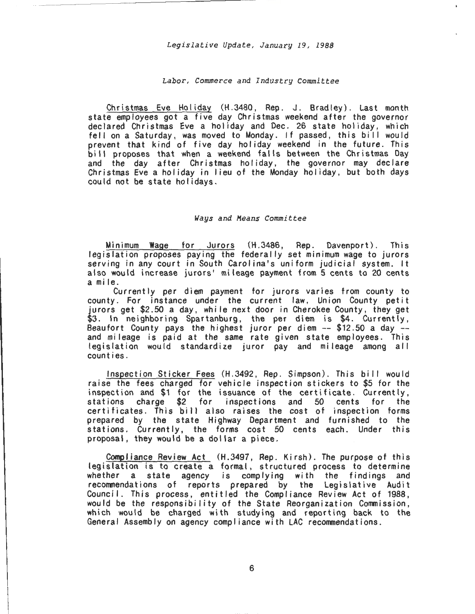## *Labor, Commerce and Industry Committee*

Christmas Eve Holiday (H.3480, Rep. J. Bradley). Last month state employees got a five day Christmas weekend after the governor declared Christmas Eve a holiday and Dec. 26 state holiday, which fell on a Saturday, was moved to Monday. If passed, this bill would prevent that kind of five day holiday weekend in the future. This bill proposes that when a weekend falls between the Christmas Day and the day after Christmas holiday, the governor may declare Christmas Eve a holiday in lieu of the Monday holiday, but both days could not be state holidays.

#### *Ways and Means Committee*

Minimum Wage for Jurors (H .3486, Rep. Davenport). This legislation proposes paying the federally set minimum wage to jurors serving in any court in South Carolina's uniform judicial system. It also would increase jurors' mileage payment from 5 cents to 20 cents ami le.

Currently per diem payment for jurors varies from county to county. For instance under the current law, Union County petit jurors get \$2.50 a day, while next door in Cherokee County, they get \$3. In neighboring Spartanburg, the per diem is \$4. Currently, Beaufort County pays the highest juror per diem -- \$12.50 a day - and mileage is paid at the same rate given state employees. This legislation would standardize juror pay and mileage among alI counties.

Inspection Sticker Fees (H.3492, Rep. Simpson). This bi II would raise the fees charged for vehicle inspection stickers to \$5 for the inspection and \$1 for the issuance of the certificate. Currently, stations charge \$2 for inspections and 50 cents for the certificates. This bill also raises the cost of inspection forms prepared by the state Highway Department and furnished to the stations. Currently, the forms cost 50 cents each. Under this proposal, they would be a dollar a piece.

Compliance Review Act (H.3497, Rep. Kirsh). The purpose of this legislation is to create a formal, structured process to determine whether a state agency is complying with the findings and recommendations of reports prepared by the Legislative Audit Council. This process, entitled the Compliance Review Act of 1988, would be the responsibility of the State Reorganization Commission, which would be charged with studying and reporting back to the General Assembly on agency compliance with LAC recommendations.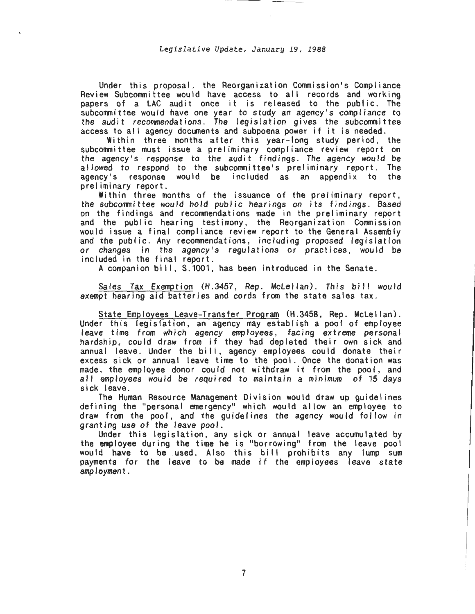Under this proposal, the Reorganization Commission's Compliance Review Subcommittee would have access to all records and working papers of a LAC audit once it is released to the public. The subcommittee would have one year to study an agency's compliance to the audit recommendations. The legislation gives the subcommittee access to alI agency documents and subpoena power if it is needed.

Within three months after this year-long study period, the subcommittee must issue a preliminary compliance review report on the agency's response to the audit findings. The agency would be allowed to respond to the subcommittee's preliminary report. The agency's response would be included as an appendix to the preliminary report.

Within three months of the issuance of the preliminary report, the subcommittee would hold public hearings on its findings. Based on the findings and recommendations made in the preliminary report and the public hearing testimony, the Reorganization Commission would issue a final compliance review report to the General Assembly and the public. Any recommendations, including proposed legislation or changes in the agency's regulations or practices, would be included in the final report.

A companion bill, S.1001, has been introduced in the Senate.

Sales Tax Exemption (H.3457, Rep. McLellan). This bill would exempt hearing aid batteries and cords from the state sales tax.

State Employees Leave-Transfer Program (H.3458, Rep. Mclellan). Under this legislation, an agency may establish a pool of employee leave time from which agency employees, facing extreme personal hardship, could draw from if they had depleted their own sick and annual leave. Under the bi II, agency employees could donate their excess sick or annual leave time to the pool. Once the donation was made, the employee donor could not withdraw it from the pool, and all employees would be required to maintain a minimum of 15 days sick leave.

The Human Resource Management Division would draw up guidelines defining the "personal emergency" which would allow an employee to draw from the pool, and the guidelines the agency would follow in granting use of the leave pool.

Under this legislation, any sick or annual leave accumulated by the employee during the time he is "borrowing" from the leave pool would have to be used. Also this bill prohibits any lump sum payments for the leave to be made if the employees leave state employment.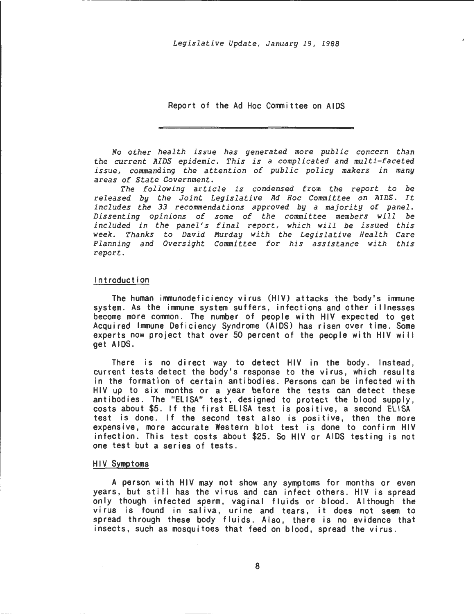Report of the Ad Hoc Committee on AIDS

No other health issue has generated more public concern than the current AIDS epidemic. This is a complicated and multi-faceted issue, commanding the attention of public policy makers in many areas of State Government.

The following article is condensed from the report to be released by the Joint Legislative Ad Hoc Committee on AIDS. It includes the 33 reconunendations approved by a majority of panel. Dissenting opinions of some of the committee members will be included in the panel's final report, which will be issued this week. Thanks to David Murday with the Legislative Health Care Planning and Oversight Committee for his assistance with this report.

#### Introduction

The human immunodeficiency virus (HIV) attacks the body's immune system. As the immune system suffers, infections and other i I lnesses become more common. The number of people with HIV expected to get Acquired Immune Deficiency Syndrome (AIDS) has risen over time. Some experts now project that over 50 percent of the people with HIV will get AIDS.

There is no direct way to detect HIV in the body. Instead, current tests detect the body's response to the virus, which results in the formation of certain antibodies. Persons can be infected with HIV up to six months or a year before the tests can detect these antibodies. The "ELISA" test, designed to protect the blood supply, costs about \$5. If the first ELISA test is positive, a second ELISA test is done. If the second test also is positive, then the more expensive, more accurate Western blot test is done to confirm HIV infection. This test costs about \$25. So HIV or AIDS testing is not one test but a series of tests.

## HIV Symptoms

A person with HIV may not show any symptoms for months or even years, but still has the virus and can infect others. HIV is spread only though infected sperm, vaginal fluids or blood. Although the virus is found in saliva, urine and tears, it does not seem to spread through these body fluids. Also, there is no evidence that insects, such as mosquitoes that feed on blood, spread the virus.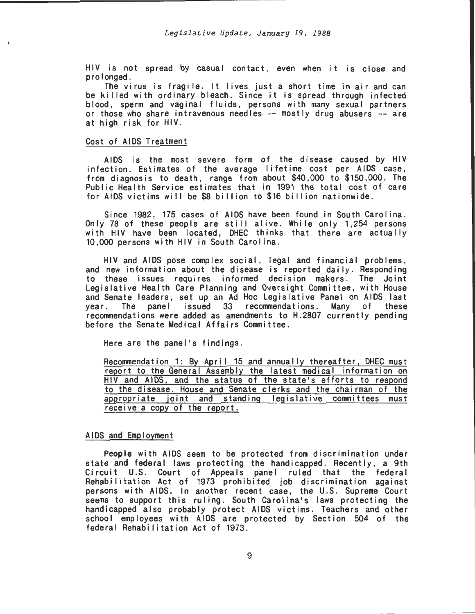HIV is not spread by casual contact, even when it is close and

The virus is fragile. It lives just a short time in air and can be killed with ordinary bleach. Since it is spread through infected blood, sperm and vaginal fluids, persons with many sexual partners or those who share intravenous needles -- mostly drug abusers -- are at high risk for HIV.

## Cost of AIDS Treatment

AIDS is the most severe form of the disease caused by HIV infection. Estimates of the average lifetime cost per AIDS case, from diagnosis to death, range from about \$40,000 to \$150,000. The Public Health Service estimates that in 1991 the total cost of care for AIDS victims will be \$8 billion to \$16 billion nationwide.

Since 1982, 175 cases of AIDS have been found in South Carolina. Only 78 of these people are still alive. While only 1,254 persons with HIV have been located, DHEC thinks that there are actually 10,000 persons with HIV in South Carolina.

HIV and AIDS pose complex social, legal and financial problems, and new information about the disease is reported daily. Responding to these issues requires informed decision makers. The Joint Legislative Health Care Planning and Oversight Committee, with House and Senate leaders, set up an Ad Hoc Legislative Panel on AIDS last vear. The panel issued 33 recommendations. Many of these The panel issued 33 recommendations. Many of these recommendations were added as amendments to H.2807 currently pending before the Senate Medical Affairs Committee.

Here are the panel's findings.

Recommendation 1: By April 15 and annually thereafter, DHEC must report to the General Assembly the latest medical information on HIV and AIDS, and the status of the state's efforts to respond to the disease. House and Senate clerks and the chairman of the appropriate joint and standing legislative committees must receive a copy of the report.

# AIDS and Employment

People with AIDS seem to be protected from discrimination under state and federal laws protecting the handicapped. Recently, a 9th Circuit U.S. Court of Appeals panel ruled that the federal Rehabilitation Act of 1973 prohibited job discrimination against persons with AIDS. In another recent case, the U.S. Supreme Court seems to support this ruling. South Carolina's laws protecting the handicapped also probably protect AIDS victims. Teachers and other school employees with AIDS are protected by Section 504 of the federal Rehabilitation Act of 1973.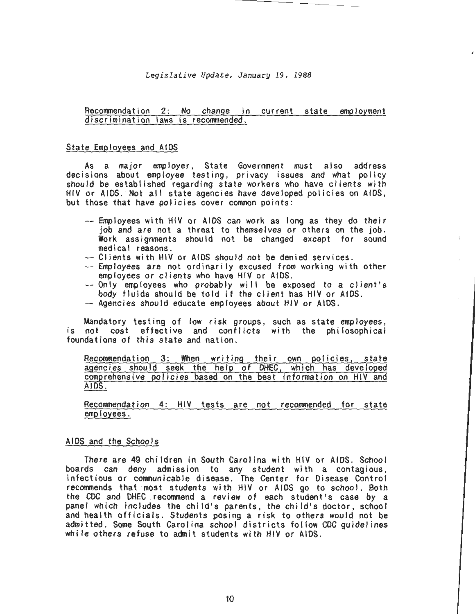*Legislative Update, January 19, 1988* 

# Recommendation 2: No change in current state employment discrimination laws is recommended.

## State Employees and AIDS

As a major employer, State Government must also address decisions about employee testing, privacy issues and what policy should be established regarding state workers who have clients with HIV or AIDS. Not alI state agencies have developed policies on AIDS, but those that have policies cover common points:

- --Employees with HIV or AIDS can work as long as they do their job and are not a threat to themselves or others on the job. Work assignments should not be changed except for sound medica I reasons.
- Clients with HIV or AIDS should not be denied services.
- -- Employees are not ordinarily excused from working with other employees or clients who have HIV or AIDS.
- $--$  Only employees who probably will be exposed to a client's body fluids should be told if the client has HIV or AIDS.
- -- Agencies should educate employees about HIV or AIDS.

Mandatory testing of low risk groups, such as state employees, is not cost effective and conflicts with the philosophical foundations of this state and nation.

Recommendation 3: When writing their own policies, state agencies should seek the help of DHEC, which has developed comprehensive policies based on the best information on HIV and AIDS.

Recommendation 4: HIV tests are not recommended for state employees.

#### AIDS and the Schools

There are 49 children in South Carolina with HIV or AIDS. School boards can deny admission to any student with a contagious, infectious or communicable disease. The Center for Disease Control recommends that most students with HIV or AIDS go to school. Both the CDC and DHEC recommend a review of each student's case by a panel which includes the child's parents, the child's doctor, school and health officials. Students posing a risk to others would not be admitted. Some South Carolina school districts follow CDC guidelines while others refuse to admit students with HIV or AIDS.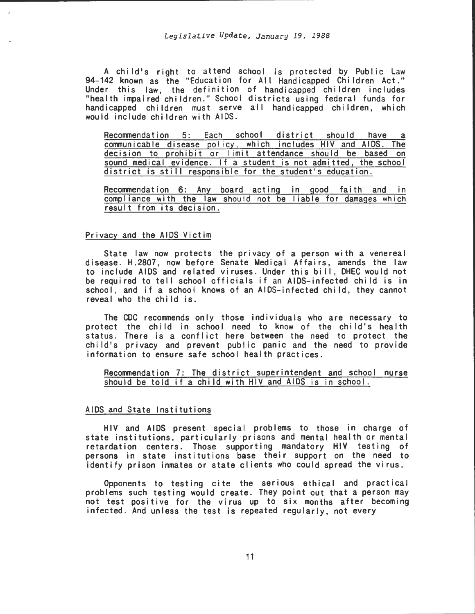A child's right to attend school is protected by Public Law 94-142 known as the "Education for All Handicapped Children Act." Under this law, the definition of handicapped children includes "health impaired children." School districts using federal funds for handicapped children must serve alI handicapped children, which would include children with AIDS.

Recommendation 5: Each school district should have a communicable disease policy, which includes HIV and AIDS. The decision to prohibit or limit attendance should be based on sound medical evidence. If a student is not admitted, the school district is still responsible for the student's education.

Recommendation 6: Any board acting in good faith and in compliance with the law should not be liable for damages which result from its decision.

# Privacy and the AIDS Victim

State law now protects the privacy of a person with a venereal disease. H.2807, now before Senate Medical Affairs, amends the law to include AIDS and related viruses. Under this bill, DHEC would not be required to tell school officials if an AIDS-infected child is in school, and if a school knows of an AIDS-infected child, they cannot reveal who the child is.

The CDC recommends only those individuals who are necessary to protect the child in school need to know of the child's health status. There is a conflict here between the need to protect the child's privacy and prevent public panic and the need to provide information to ensure safe school health practices.

# Recommendation 7: The district superintendent and school nurse should be told if a child with HIV and AIDS is in school.

## AIDS and State Institutions

HIV and AIDS present special problems to those in charge of state institutions, particularly prisons and mental health or mental retardation centers. Those supporting mandatory HIV testing of persons in state institutions base their support on the need to identify prison inmates or state clients who could spread the virus.

Opponents to testing cite the serious ethical and practical problems such testing would create. They point out that a person may not test positive for the virus up to six months after becoming infected. And unless the test is repeated regularly, not every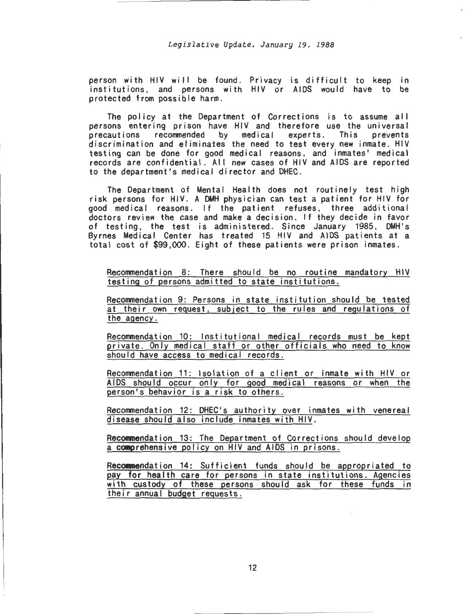person with HIV will be found . Privacy is difficult to keep in institutions, and persons with HIV or AIDS would have to be protected from possible harm .

The policy at the Department of Corrections is to assume all persons entering prison have HIV and therefore use the universal<br>precautions recommended by medical experts. This prevents precautions recommended by discrimination and eliminates the need to test every new inmate. HIV testing can be done for good medical reasons, and inmates' medical records are confidential. All new cases of HIV and AIDS are reported to the department's medical director and DHEC.

The Department of Mental Health does not routinely test high risk persons for HIV . A DMH physician can test a patient for HIV for good medical reasons. If the patient refuses, three additional doctors review the case and make a decision. If they decide in favor of testing, the test is administered. Since January 1985, DMH's Byrnes Medical Center has treated 15 HIV and AIDS patients at a total cost of \$99,000. Eight of these patients were prison inmates .

Recommendation 8: There should be no routine mandatory HIV testing of persons admitted to state institutions.

Recommendation 9: Persons in state institution should be tested at their own request, subject to the rules and regulations of the agency.

Recommendation 10: Institutional medical records must be kept private. Only medical staff or other officials who need to know should have access to medical records.

Recommendation 11 : Isolation of a client or inmate with HIV or AIDS should occur only for good medical reasons or when the person's behavior is a risk to others .

Recommendation 12: DHEC's authority over inmates with venereal disease should also include inmates with HIV.

Recommendation 13: The Department of Corrections should develop a COMprehensive policy on HIV and AIDS in prisons.

Recommendation 14: Sufficient funds should be appropriated to pay for health care for persons in state institutions. Agencies with custody of these persons should ask for these funds in their annual budget requests .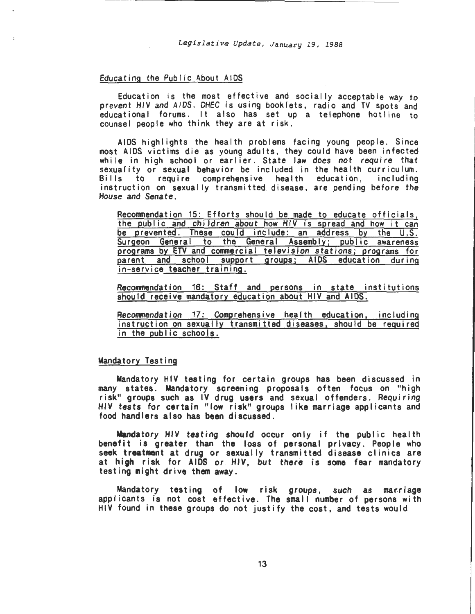## Educating the Public About AIDS

Education is the most effective and socially acceptable way to prevent HIV and AIDS. DHEC is using booklets, radio and TV spots and educational forums. It also has set up a telephone hotline to counsel people who think they are at risk.

AIDS highlights the health problems facing young people. Since most AIDS victims die as young adults, they could have been infected while in high school or earlier. State law does not require that sexuality or sexual behavior be included in the health curriculum. Bills to require comprehensive health education, including instruction on sexually transmitted. disease, are pending before the House and Senate.

Reconmendation 15: Efforts should be made to educate officials, the public and children about how HIV is spread and how it can be prevented. These could include: an address by the U.S. Surgeon General to the General Assembly; public awareness programs by ETV and conmercial television stations; programs for parent and school support groups; AIDS education during in-service teacher training.

Reconmendation 16: Staff and persons in state institutions should receive mandatory education about HIV and AIDS.

Reconmendation 17: Comprehensive health education, including instruction on sexually transmitted diseases, should be required in the public schools.

## Mandatory Testing

Mandatory HIV testing for certain groups has been discussed in many states. Mandatory screening proposals often focus on "high risk" groups such as IV drug users and sexual offenders. Requiring HIV tests for certain "low risk" groups I ike marriage applicants and food handlers also has been discussed.

Mandatory HIV testing should occur only if the public health benefit is greater than the loss of personal privacy. People who seek treatment at drug or sexually transmitted disease clinics are at high risk for AIDS or HIV, but there is some fear mandatory testing might drive them away.

Mandatory testing of low risk groups, such as marriage applicants is not cost effective. The small number of persons with HIV found in these groups do not justify the cost, and tests would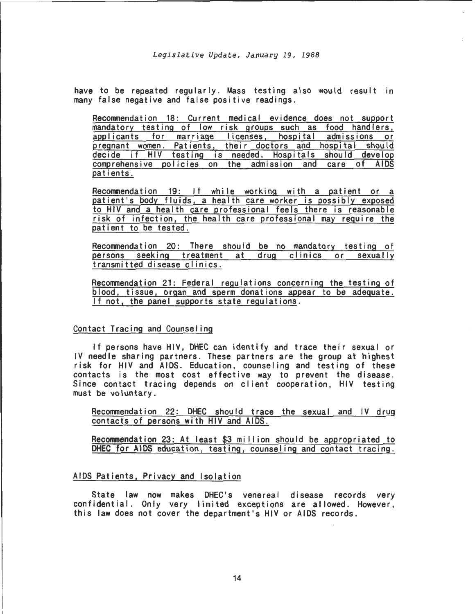have to be repeated regularly. Mass testing also would result in many false negative and false positive readings.

Recommendation 18: Current medical evidence does not support mandatory testing of low risk groups such as food handlers,<br>applicants for marriage licenses, hospital admissions or applicants for marriage licenses, hospital pregnant women. Patients, their doctors and hospital should decide if HIV testing is needed. Hospitals should develop comprehensive policies on the admission and care of AIDS patients.

Recommendation 19: If while working with a patient or a patient's body fluids, a health care worker is possibly exposed to HIV and a health care professional feels there is reasonable risk of infection, the health care professional may require the patient to be tested.

Recommendation 20: There should be no mandatory testing of<br>persons seeking treatment at drug clinics or sexually persons seeking treatment at drug clinics or transmitted disease clinics.

Recommendation 21: Federal regulations concerning the testing of blood, tissue, organ and sperm donations appear to be adequate. If not, the panel supports state regulations.

# Contact Tracing and Counseling

If persons have HIV, DHEC can identify and trace their sexual or IV needle sharing partners. These partners are the group at highest risk for HIV and AIDS. Education, counseling and testing of these contacts is the most cost effective way to prevent the disease. Since contact tracing depends on client cooperation, HIV testing must be voluntary.

Recommendation 22: DHEC should trace the sexual and IV drug contacts of persons with HIV and AIDS.

Recommendation 23: At least \$3 million should be appropriated to DHEC for AIDS education, testing, counseling and contact tracing.

# AIDS Patients, Privacy and Isolation

State law now makes DHEC's venereal disease records very confidential. Only very limited exceptions are allowed. However, this law does not cover the department's HJV or AIDS records.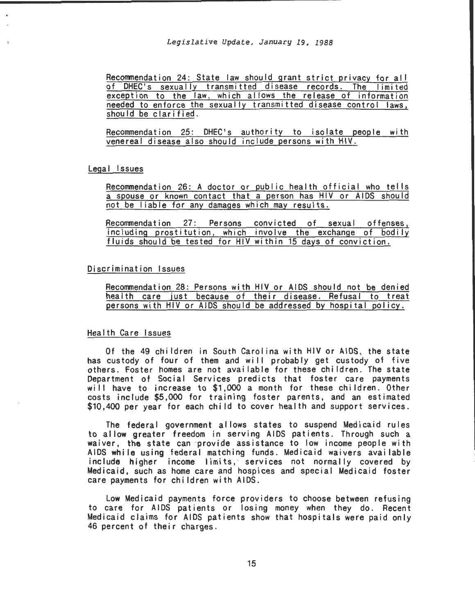Recommendation 24: State law should grant strict privacy for all of DHEC's sexually transmitted disease records. The limited exception to the law, which allows the release of information needed to enforce the sexually transmitted disease control laws, should be clarified.

Recommendation 25: DHEC's authority to isolate people with venereal disease also should include persons with HIV.

# Legal Issues

Recommendation 26: A doctor or public health official who tells a spouse or known contact that a person has HIV or AIDS should not be liable for any damages which may results.

Recommendation 27: Persons convicted of sexual offenses, including prostitution, which involve the exchange of bodily fluids should be tested for HIV within 15 days of conviction.

# Discrimination Issues

Recommendation 28: Persons with HIV or AIDS should not be denied health care just because of their disease. Refusal to treat persons with HIV or AIDS should be addressed by hospital policy.

# Health Care Issues

Of the 49 children in South Carol ina with HIV or AIDS, the state has custody of four of them and will probably get custody of five others. Foster homes are not available for these children. The state Department of Social Services predicts that foster care payments will have to increase to \$1,000 a month for these children. Other costs include \$5,000 for training foster parents, and an estimated \$10,400 per year for each child to cover health and support services.

The federal government allows states to suspend Medicaid rules to allow greater freedom in serving AIDS patients. Through such a waiver, the state can provide assistance to low income people with AIDS while using federal matching funds. Medicaid waivers available include higher income limits, services not normally covered by Medicaid, such as home care and hospices and special Medicaid foster care payments for children with AIDS.

Low Medicaid payments force providers to choose between refusing to care for AIDS patients or losing money when they do. Recent Medicaid claims for AIDS patients show that hospitals were paid only 46 percent of their charges.